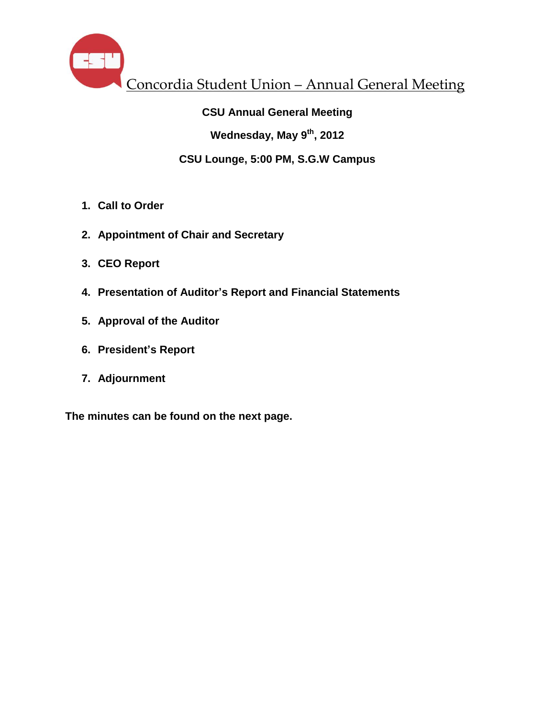

#### **CSU Annual General Meeting**

**Wednesday, May 9th , 2012**

#### **CSU Lounge, 5:00 PM, S.G.W Campus**

- **1. Call to Order**
- **2. Appointment of Chair and Secretary**
- **3. CEO Report**
- **4. Presentation of Auditor's Report and Financial Statements**
- **5. Approval of the Auditor**
- **6. President's Report**
- **7. Adjournment**

**The minutes can be found on the next page.**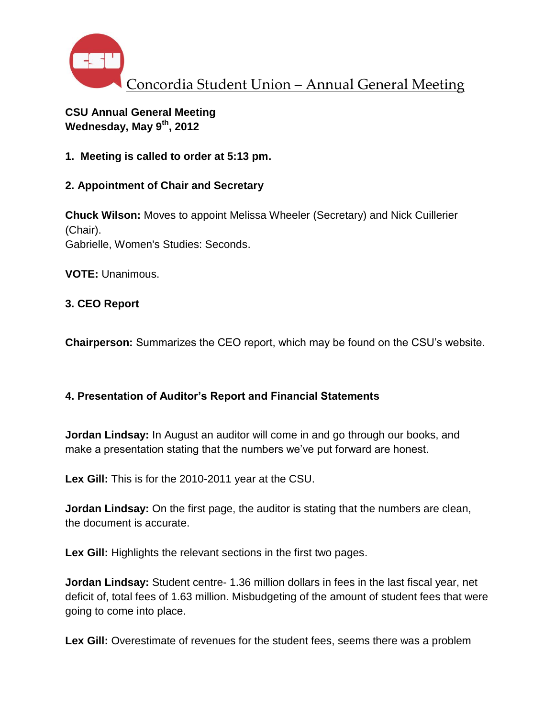

## **CSU Annual General Meeting Wednesday, May 9th, 2012**

**1. Meeting is called to order at 5:13 pm.**

## **2. Appointment of Chair and Secretary**

**Chuck Wilson:** Moves to appoint Melissa Wheeler (Secretary) and Nick Cuillerier (Chair). Gabrielle, Women's Studies: Seconds.

**VOTE:** Unanimous.

## **3. CEO Report**

**Chairperson:** Summarizes the CEO report, which may be found on the CSU's website.

## **4. Presentation of Auditor's Report and Financial Statements**

**Jordan Lindsay:** In August an auditor will come in and go through our books, and make a presentation stating that the numbers we've put forward are honest.

**Lex Gill:** This is for the 2010-2011 year at the CSU.

**Jordan Lindsay:** On the first page, the auditor is stating that the numbers are clean, the document is accurate.

**Lex Gill:** Highlights the relevant sections in the first two pages.

**Jordan Lindsay:** Student centre- 1.36 million dollars in fees in the last fiscal year, net deficit of, total fees of 1.63 million. Misbudgeting of the amount of student fees that were going to come into place.

**Lex Gill:** Overestimate of revenues for the student fees, seems there was a problem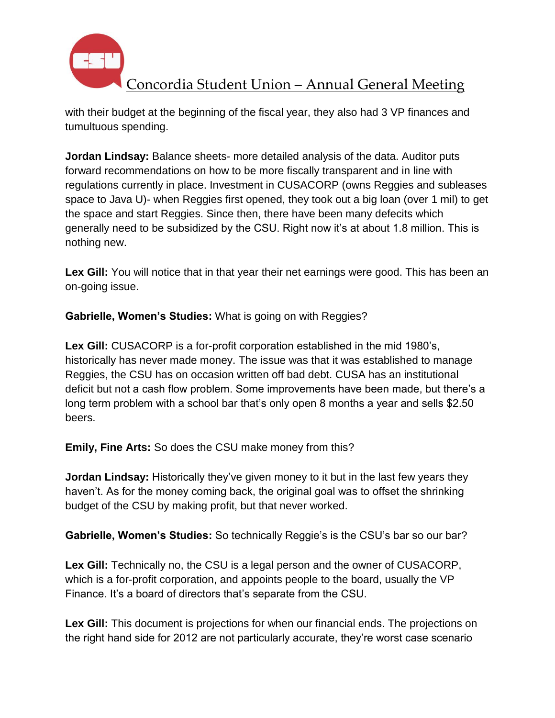

with their budget at the beginning of the fiscal year, they also had 3 VP finances and tumultuous spending.

**Jordan Lindsay:** Balance sheets- more detailed analysis of the data. Auditor puts forward recommendations on how to be more fiscally transparent and in line with regulations currently in place. Investment in CUSACORP (owns Reggies and subleases space to Java U)- when Reggies first opened, they took out a big loan (over 1 mil) to get the space and start Reggies. Since then, there have been many defecits which generally need to be subsidized by the CSU. Right now it's at about 1.8 million. This is nothing new.

**Lex Gill:** You will notice that in that year their net earnings were good. This has been an on-going issue.

**Gabrielle, Women's Studies:** What is going on with Reggies?

**Lex Gill:** CUSACORP is a for-profit corporation established in the mid 1980's, historically has never made money. The issue was that it was established to manage Reggies, the CSU has on occasion written off bad debt. CUSA has an institutional deficit but not a cash flow problem. Some improvements have been made, but there's a long term problem with a school bar that's only open 8 months a year and sells \$2.50 beers.

**Emily, Fine Arts:** So does the CSU make money from this?

**Jordan Lindsay:** Historically they've given money to it but in the last few years they haven't. As for the money coming back, the original goal was to offset the shrinking budget of the CSU by making profit, but that never worked.

**Gabrielle, Women's Studies:** So technically Reggie's is the CSU's bar so our bar?

**Lex Gill:** Technically no, the CSU is a legal person and the owner of CUSACORP, which is a for-profit corporation, and appoints people to the board, usually the VP Finance. It's a board of directors that's separate from the CSU.

Lex Gill: This document is projections for when our financial ends. The projections on the right hand side for 2012 are not particularly accurate, they're worst case scenario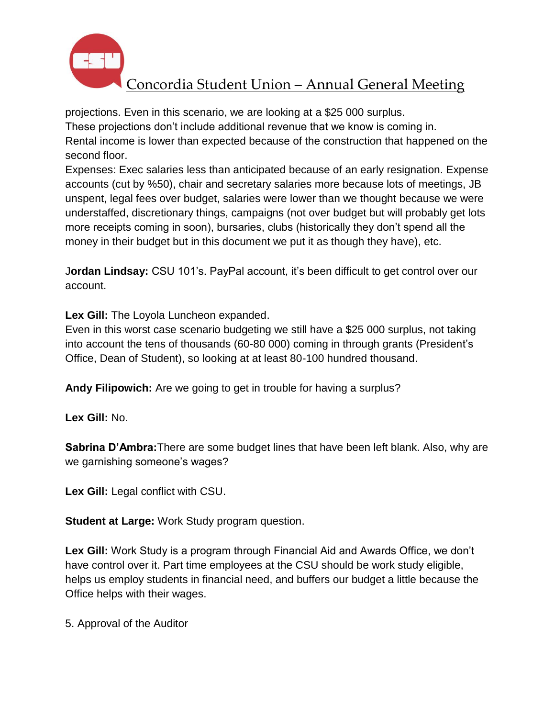

# Concordia Student Union – Annual General Meeting

projections. Even in this scenario, we are looking at a \$25 000 surplus.

These projections don't include additional revenue that we know is coming in. Rental income is lower than expected because of the construction that happened on the second floor.

Expenses: Exec salaries less than anticipated because of an early resignation. Expense accounts (cut by %50), chair and secretary salaries more because lots of meetings, JB unspent, legal fees over budget, salaries were lower than we thought because we were understaffed, discretionary things, campaigns (not over budget but will probably get lots more receipts coming in soon), bursaries, clubs (historically they don't spend all the money in their budget but in this document we put it as though they have), etc.

J**ordan Lindsay:** CSU 101's. PayPal account, it's been difficult to get control over our account.

**Lex Gill:** The Loyola Luncheon expanded.

Even in this worst case scenario budgeting we still have a \$25 000 surplus, not taking into account the tens of thousands (60-80 000) coming in through grants (President's Office, Dean of Student), so looking at at least 80-100 hundred thousand.

**Andy Filipowich:** Are we going to get in trouble for having a surplus?

**Lex Gill:** No.

**Sabrina D'Ambra:**There are some budget lines that have been left blank. Also, why are we garnishing someone's wages?

**Lex Gill:** Legal conflict with CSU.

**Student at Large:** Work Study program question.

**Lex Gill:** Work Study is a program through Financial Aid and Awards Office, we don't have control over it. Part time employees at the CSU should be work study eligible, helps us employ students in financial need, and buffers our budget a little because the Office helps with their wages.

5. Approval of the Auditor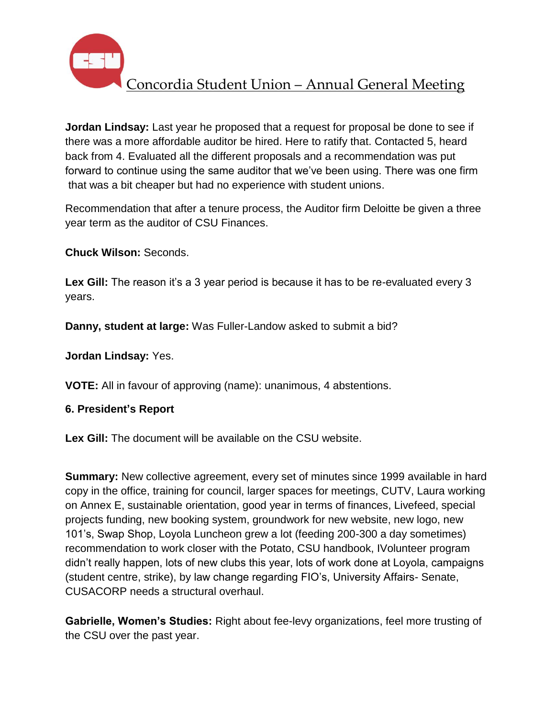

**Jordan Lindsay:** Last year he proposed that a request for proposal be done to see if there was a more affordable auditor be hired. Here to ratify that. Contacted 5, heard back from 4. Evaluated all the different proposals and a recommendation was put forward to continue using the same auditor that we've been using. There was one firm that was a bit cheaper but had no experience with student unions.

Recommendation that after a tenure process, the Auditor firm Deloitte be given a three year term as the auditor of CSU Finances.

**Chuck Wilson:** Seconds.

Lex Gill: The reason it's a 3 year period is because it has to be re-evaluated every 3 years.

**Danny, student at large:** Was Fuller-Landow asked to submit a bid?

**Jordan Lindsay:** Yes.

**VOTE:** All in favour of approving (name): unanimous, 4 abstentions.

## **6. President's Report**

**Lex Gill:** The document will be available on the CSU website.

**Summary:** New collective agreement, every set of minutes since 1999 available in hard copy in the office, training for council, larger spaces for meetings, CUTV, Laura working on Annex E, sustainable orientation, good year in terms of finances, Livefeed, special projects funding, new booking system, groundwork for new website, new logo, new 101's, Swap Shop, Loyola Luncheon grew a lot (feeding 200-300 a day sometimes) recommendation to work closer with the Potato, CSU handbook, IVolunteer program didn't really happen, lots of new clubs this year, lots of work done at Loyola, campaigns (student centre, strike), by law change regarding FIO's, University Affairs- Senate, CUSACORP needs a structural overhaul.

**Gabrielle, Women's Studies:** Right about fee-levy organizations, feel more trusting of the CSU over the past year.